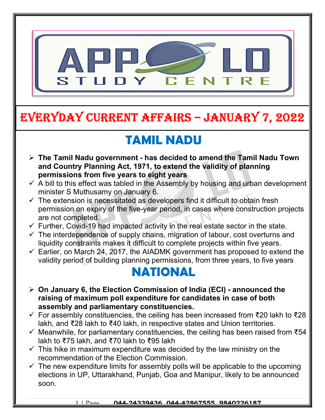

# EVERYDAY CURRENT AFFAIRS – JANUARY 7, 2022

# TAMIL NADU

-

- $\triangleright$  The Tamil Nadu government has decided to amend the Tamil Nadu Town and Country Planning Act, 1971, to extend the validity of planning permissions from five years to eight years
- $\checkmark$  A bill to this effect was tabled in the Assembly by housing and urban development minister S Muthusamy on January 6.
- $\checkmark$  The extension is necessitated as developers find it difficult to obtain fresh permission on expiry of the five-year period, in cases where construction projects are not completed.
- $\checkmark$  Further, Covid-19 had impacted activity in the real estate sector in the state.
- $\checkmark$  The interdependence of supply chains, migration of labour, cost overturns and liquidity constraints makes it difficult to complete projects within five years.
- $\checkmark$  Earlier, on March 24, 2017, the AIADMK government has proposed to extend the validity period of building planning permissions, from three years, to five years

## NATIONAL

- $\geq$  On January 6, the Election Commission of India (ECI) announced the raising of maximum poll expenditure for candidates in case of both assembly and parliamentary constituencies.
- For assembly constituencies, the ceiling has been increased from ₹20 lakh to ₹28 lakh, and ₹28 lakh to ₹40 lakh, in respective states and Union territories.
- $\checkmark$  Meanwhile, for parliamentary constituencies, the ceiling has been raised from  $\checkmark$ 54 lakh to ₹75 lakh, and ₹70 lakh to ₹95 lakh
- $\checkmark$  This hike in maximum expenditure was decided by the law ministry on the recommendation of the Election Commission.
- $\checkmark$  The new expenditure limits for assembly polls will be applicable to the upcoming elections in UP, Uttarakhand, Punjab, Goa and Manipur, likely to be announced soon.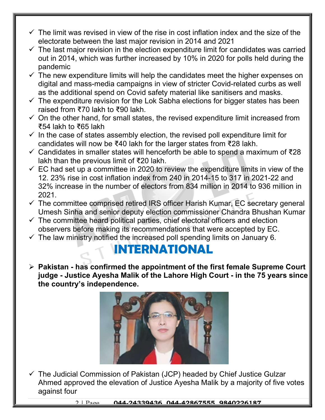- $\checkmark$  The limit was revised in view of the rise in cost inflation index and the size of the electorate between the last major revision in 2014 and 2021
- $\checkmark$  The last major revision in the election expenditure limit for candidates was carried out in 2014, which was further increased by 10% in 2020 for polls held during the pandemic
- $\checkmark$  The new expenditure limits will help the candidates meet the higher expenses on digital and mass-media campaigns in view of stricter Covid-related curbs as well as the additional spend on Covid safety material like sanitisers and masks.
- $\checkmark$  The expenditure revision for the Lok Sabha elections for bigger states has been raised from ₹70 lakh to ₹90 lakh.
- $\checkmark$  On the other hand, for small states, the revised expenditure limit increased from ₹54 lakh to ₹65 lakh
- $\checkmark$  In the case of states assembly election, the revised poll expenditure limit for candidates will now be ₹40 lakh for the larger states from ₹28 lakh.
- Candidates in smaller states will henceforth be able to spend a maximum of ₹28 lakh than the previous limit of ₹20 lakh.
- $\checkmark$  EC had set up a committee in 2020 to review the expenditure limits in view of the 12. 23% rise in cost inflation index from 240 in 2014-15 to 317 in 2021-22 and 32% increase in the number of electors from 834 million in 2014 to 936 million in 2021.
- $\checkmark$  The committee comprised retired IRS officer Harish Kumar, EC secretary general Umesh Sinha and senior deputy election commissioner Chandra Bhushan Kumar
- $\checkmark$  The committee heard political parties, chief electoral officers and election observers before making its recommendations that were accepted by EC.
- $\checkmark$  The law ministry notified the increased poll spending limits on January 6.

#### INTERNATIONAL

 $\triangleright$  Pakistan - has confirmed the appointment of the first female Supreme Court judge - Justice Ayesha Malik of the Lahore High Court - in the 75 years since the country's independence.



 $\checkmark$  The Judicial Commission of Pakistan (JCP) headed by Chief Justice Gulzar Ahmed approved the elevation of Justice Ayesha Malik by a majority of five votes against four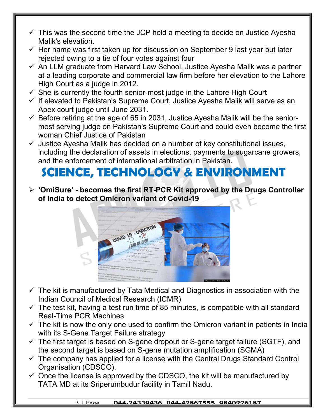- $\checkmark$  This was the second time the JCP held a meeting to decide on Justice Ayesha Malik's elevation.
- $\checkmark$  Her name was first taken up for discussion on September 9 last year but later rejected owing to a tie of four votes against four
- $\checkmark$  An LLM graduate from Harvard Law School, Justice Ayesha Malik was a partner at a leading corporate and commercial law firm before her elevation to the Lahore High Court as a judge in 2012.
- $\checkmark$  She is currently the fourth senior-most judge in the Lahore High Court
- $\checkmark$  If elevated to Pakistan's Supreme Court, Justice Ayesha Malik will serve as an Apex court judge until June 2031.
- $\checkmark$  Before retiring at the age of 65 in 2031, Justice Ayesha Malik will be the seniormost serving judge on Pakistan's Supreme Court and could even become the first woman Chief Justice of Pakistan
- $\checkmark$  Justice Ayesha Malik has decided on a number of key constitutional issues, including the declaration of assets in elections, payments to sugarcane growers, and the enforcement of international arbitration in Pakistan.

## SCIENCE, TECHNOLOGY & ENVIRONMENT

 $\triangleright$  'OmiSure' - becomes the first RT-PCR Kit approved by the Drugs Controller of India to detect Omicron variant of Covid-19



- $\checkmark$  The kit is manufactured by Tata Medical and Diagnostics in association with the Indian Council of Medical Research (ICMR)
- $\checkmark$  The test kit, having a test run time of 85 minutes, is compatible with all standard Real-Time PCR Machines
- $\checkmark$  The kit is now the only one used to confirm the Omicron variant in patients in India with its S-Gene Target Failure strategy
- $\checkmark$  The first target is based on S-gene dropout or S-gene target failure (SGTF), and the second target is based on S-gene mutation amplification (SGMA)
- $\checkmark$  The company has applied for a license with the Central Drugs Standard Control Organisation (CDSCO).
- $\checkmark$  Once the license is approved by the CDSCO, the kit will be manufactured by TATA MD at its Sriperumbudur facility in Tamil Nadu.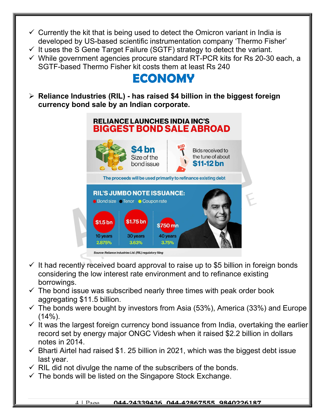- $\checkmark$  Currently the kit that is being used to detect the Omicron variant in India is developed by US-based scientific instrumentation company 'Thermo Fisher'
- $\checkmark$  It uses the S Gene Target Failure (SGTF) strategy to detect the variant.
- $\checkmark$  While government agencies procure standard RT-PCR kits for Rs 20-30 each, a SGTF-based Thermo Fisher kit costs them at least Rs 240

### ECONOMY

 $\triangleright$  Reliance Industries (RIL) - has raised \$4 billion in the biggest foreign currency bond sale by an Indian corporate.



- $\checkmark$  It had recently received board approval to raise up to \$5 billion in foreign bonds considering the low interest rate environment and to refinance existing borrowings.
- $\checkmark$  The bond issue was subscribed nearly three times with peak order book aggregating \$11.5 billion.
- $\checkmark$  The bonds were bought by investors from Asia (53%), America (33%) and Europe  $(14\%)$ .
- $\checkmark$  It was the largest foreign currency bond issuance from India, overtaking the earlier record set by energy major ONGC Videsh when it raised \$2.2 billion in dollars notes in 2014.
- $\checkmark$  Bharti Airtel had raised \$1. 25 billion in 2021, which was the biggest debt issue last year.
- $\checkmark$  RIL did not divulge the name of the subscribers of the bonds.
- $\checkmark$  The bonds will be listed on the Singapore Stock Exchange.

#### 4 | Page 044-24339436, 044-42867555, 9840226187